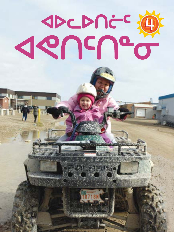# 

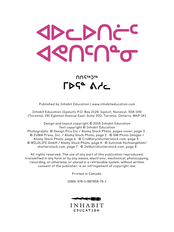

#### ႶႶናჼჂჼჼ **FDSe Ade**

Published by Inhabit Education | www.inhabiteducation.com

Inhabit Education (Iqaluit), P.O. Box 2129, Iqaluit, Nunavut, X0A 1H0 (Toronto), 191 Eglinton Avenue East, Suite 302, Toronto, Ontario, M4P 1K1

Design and layout copyright © 2016 Inhabit Education Text copyright © Inhabit Education Photographs: © Design Pics Inc / Alamy Stock Photo, pages cover, page 3 · © ZUMA Press, Inc. / Alamy Stock Photo, page 2 · © GM Photo Images / Alamy Stock Photo, page 4 · © CroMary/shutterstock.com, page 5 · © WILDLIFE GmbH / Alamy Stock Photo, page 6 · © Sutichak Yachiangkham/ shutterstock.com, page 7 · © JetKat/shutterstock.com, page 8

All rights reserved. The use of any part of this publication reproduced, transmitted in any form or by any means, electronic, mechanical, photocopying, recording, or otherwise, or stored in a retrievable system, without written consent of the publisher, is an infringement of copyright law.

Printed in Canada.

ISBN: 978-1-987958-75-1



**INHABIT** EDUCATION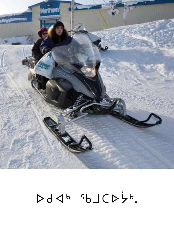

#### $Dd4^b 5dCD5^b.$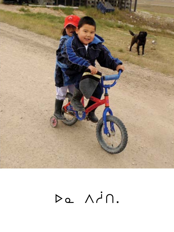

# Da Ain.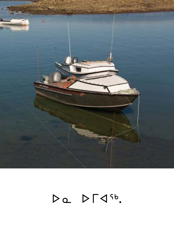

# $DQ$   $D \Gamma 4^{5b}$ .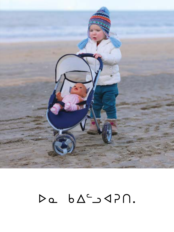

### $\triangleright a \quad b \triangle^c \supset \triangleleft P \cap.$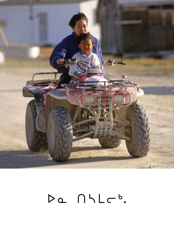

# Da NHLC<sup>b</sup>.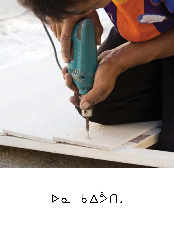

# Da bASN.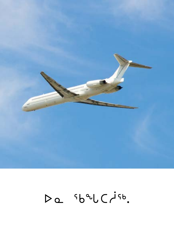

# Da sbalCisb.